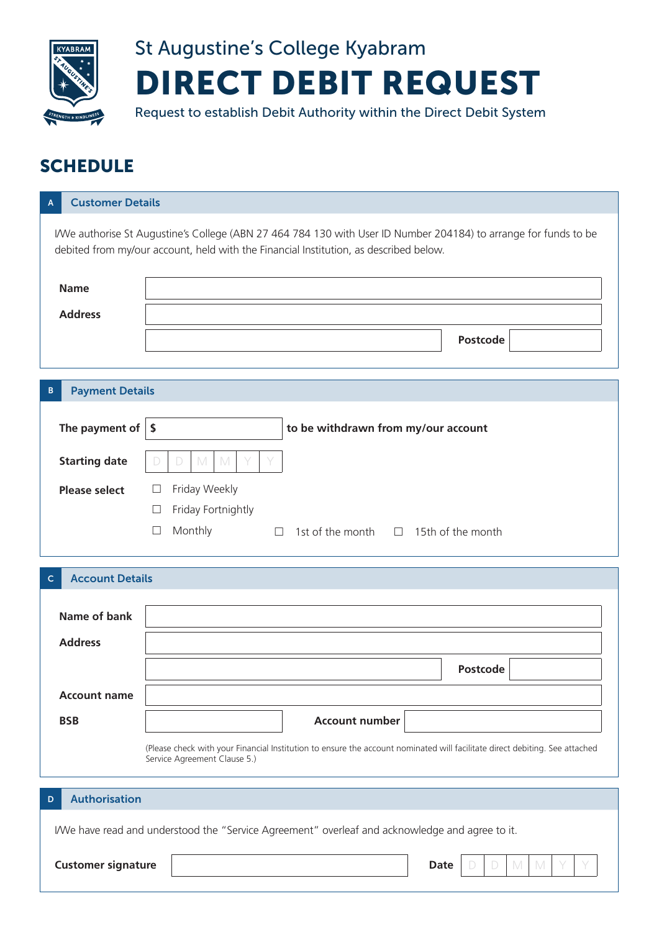

## St Augustine's College Kyabram DIRECT DEBIT REQUEST

Request to establish Debit Authority within the Direct Debit System

## **SCHEDULE**

| <b>Customer Details</b><br>А                                                                                                                                                                              |                                                                                                                             |  |  |  |  |  |
|-----------------------------------------------------------------------------------------------------------------------------------------------------------------------------------------------------------|-----------------------------------------------------------------------------------------------------------------------------|--|--|--|--|--|
| I/We authorise St Augustine's College (ABN 27 464 784 130 with User ID Number 204184) to arrange for funds to be<br>debited from my/our account, held with the Financial Institution, as described below. |                                                                                                                             |  |  |  |  |  |
| <b>Name</b>                                                                                                                                                                                               |                                                                                                                             |  |  |  |  |  |
| <b>Address</b>                                                                                                                                                                                            |                                                                                                                             |  |  |  |  |  |
|                                                                                                                                                                                                           | <b>Postcode</b>                                                                                                             |  |  |  |  |  |
| <b>Payment Details</b><br>в                                                                                                                                                                               |                                                                                                                             |  |  |  |  |  |
| The payment of $\vert$ \$                                                                                                                                                                                 | to be withdrawn from my/our account                                                                                         |  |  |  |  |  |
| <b>Starting date</b>                                                                                                                                                                                      | M<br>M<br>$\Box$                                                                                                            |  |  |  |  |  |
| <b>Please select</b>                                                                                                                                                                                      | Friday Weekly<br>$\Box$                                                                                                     |  |  |  |  |  |
|                                                                                                                                                                                                           | Friday Fortnightly<br>$\Box$                                                                                                |  |  |  |  |  |
|                                                                                                                                                                                                           | Monthly<br>$\Box$<br>1st of the month $\Box$ 15th of the month<br>$\Box$                                                    |  |  |  |  |  |
|                                                                                                                                                                                                           |                                                                                                                             |  |  |  |  |  |
| <b>Account Details</b><br>C                                                                                                                                                                               |                                                                                                                             |  |  |  |  |  |
| <b>Name of bank</b>                                                                                                                                                                                       |                                                                                                                             |  |  |  |  |  |
|                                                                                                                                                                                                           |                                                                                                                             |  |  |  |  |  |
| <b>Address</b>                                                                                                                                                                                            |                                                                                                                             |  |  |  |  |  |
|                                                                                                                                                                                                           | <b>Postcode</b>                                                                                                             |  |  |  |  |  |
| <b>Account name</b>                                                                                                                                                                                       |                                                                                                                             |  |  |  |  |  |
| <b>BSB</b>                                                                                                                                                                                                | <b>Account number</b>                                                                                                       |  |  |  |  |  |
|                                                                                                                                                                                                           | (Please check with your Financial Institution to ensure the account nominated will facilitate direct debiting. See attached |  |  |  |  |  |
| Service Agreement Clause 5.)                                                                                                                                                                              |                                                                                                                             |  |  |  |  |  |
| <b>Authorisation</b><br>D                                                                                                                                                                                 |                                                                                                                             |  |  |  |  |  |
| I/We have read and understood the "Service Agreement" overleaf and acknowledge and agree to it.                                                                                                           |                                                                                                                             |  |  |  |  |  |
| <b>Customer signature</b><br><b>Date</b><br>D<br>$\mathbb M$<br>M                                                                                                                                         |                                                                                                                             |  |  |  |  |  |